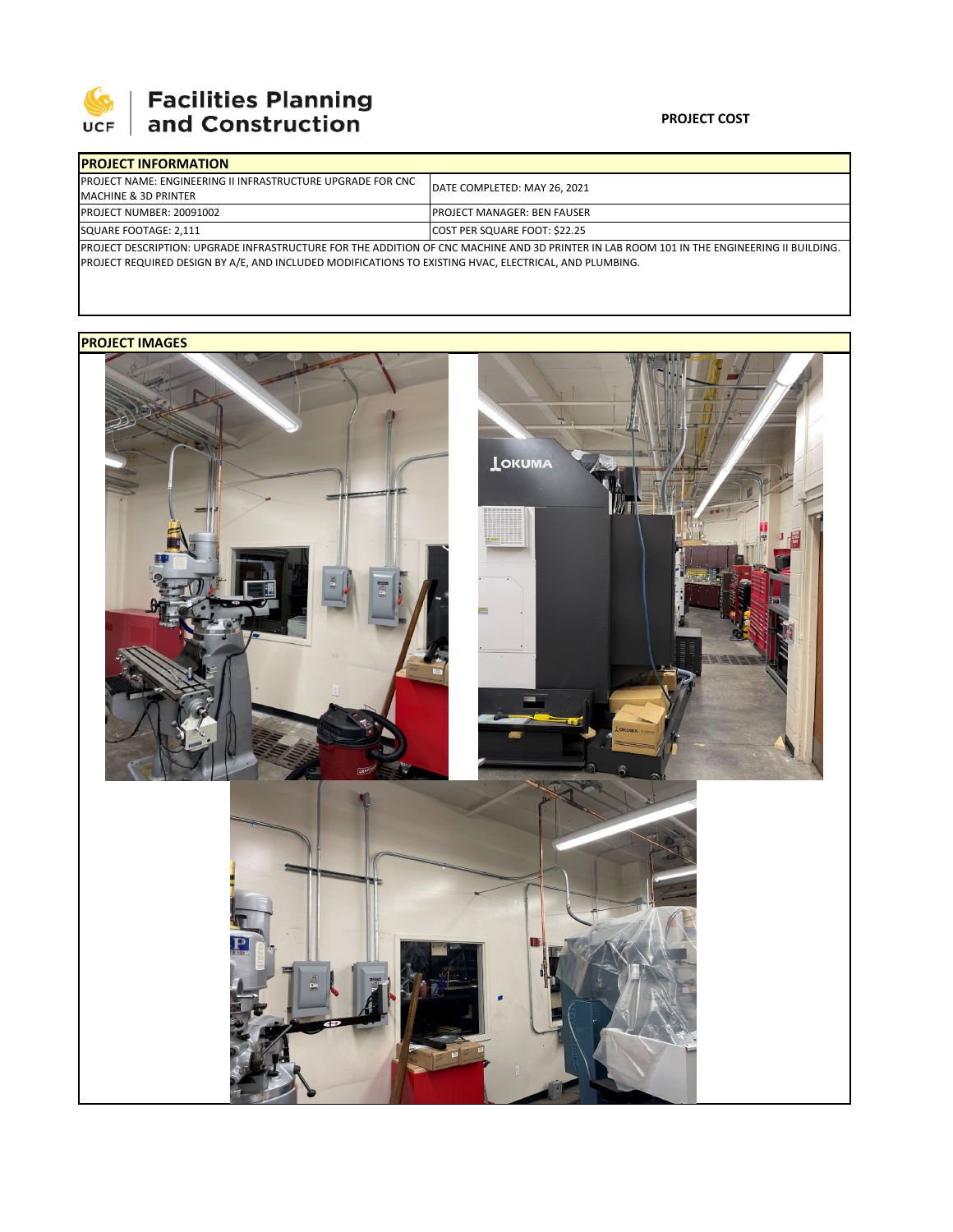

## **SEPTE AND Facilities Planning**<br>UCF and Construction

| <b>IPROJECT INFORMATION</b>                                                                                                                |  |                                      |  |                                  |  |
|--------------------------------------------------------------------------------------------------------------------------------------------|--|--------------------------------------|--|----------------------------------|--|
| <b>IPROJECT NAME: ENGINEERING II INFRASTRUCTURE UPGRADE FOR CNC.</b><br><b>MACHINE &amp; 3D PRINTER</b>                                    |  | <b>IDATE COMPLETED: MAY 26, 2021</b> |  |                                  |  |
|                                                                                                                                            |  |                                      |  | <b>IPROJECT NUMBER: 20091002</b> |  |
| SQUARE FOOTAGE: 2,111                                                                                                                      |  | COST PER SQUARE FOOT: \$22.25        |  |                                  |  |
| PROJECT DESCRIPTION: UPGRADE INFRASTRUCTURE FOR THE ADDITION OF CNC MACHINE AND 3D PRINTER IN LAB ROOM 101 IN THE ENGINEERING II BUILDING. |  |                                      |  |                                  |  |

PROJECT REQUIRED DESIGN BY A/E, AND INCLUDED MODIFICATIONS TO EXISTING HVAC, ELECTRICAL, AND PLUMBING.

## **PROJECT IMAGES**